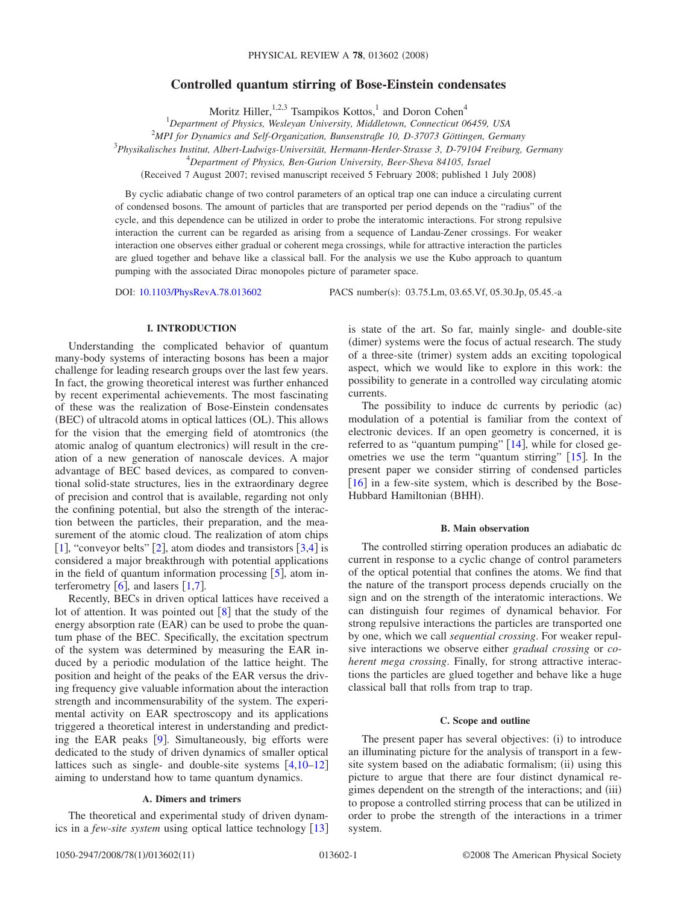# **Controlled quantum stirring of Bose-Einstein condensates**

Moritz Hiller,<sup>1,2,3</sup> Tsampikos Kottos,<sup>1</sup> and Doron Cohen<sup>4</sup>

1 *Department of Physics, Wesleyan University, Middletown, Connecticut 06459, USA*

2 *MPI for Dynamics and Self-Organization, Bunsenstraße 10, D-37073 Göttingen, Germany*

3 *Physikalisches Institut, Albert-Ludwigs-Universität, Hermann-Herder-Strasse 3, D-79104 Freiburg, Germany*

4 *Department of Physics, Ben-Gurion University, Beer-Sheva 84105, Israel*

(Received 7 August 2007; revised manuscript received 5 February 2008; published 1 July 2008)

By cyclic adiabatic change of two control parameters of an optical trap one can induce a circulating current of condensed bosons. The amount of particles that are transported per period depends on the "radius" of the cycle, and this dependence can be utilized in order to probe the interatomic interactions. For strong repulsive interaction the current can be regarded as arising from a sequence of Landau-Zener crossings. For weaker interaction one observes either gradual or coherent mega crossings, while for attractive interaction the particles are glued together and behave like a classical ball. For the analysis we use the Kubo approach to quantum pumping with the associated Dirac monopoles picture of parameter space.

DOI: [10.1103/PhysRevA.78.013602](http://dx.doi.org/10.1103/PhysRevA.78.013602)

PACS number(s): 03.75.Lm, 03.65.Vf, 05.30.Jp, 05.45.-a

# **I. INTRODUCTION**

Understanding the complicated behavior of quantum many-body systems of interacting bosons has been a major challenge for leading research groups over the last few years. In fact, the growing theoretical interest was further enhanced by recent experimental achievements. The most fascinating of these was the realization of Bose-Einstein condensates (BEC) of ultracold atoms in optical lattices (OL). This allows for the vision that the emerging field of atomtronics (the atomic analog of quantum electronics) will result in the creation of a new generation of nanoscale devices. A major advantage of BEC based devices, as compared to conventional solid-state structures, lies in the extraordinary degree of precision and control that is available, regarding not only the confining potential, but also the strength of the interaction between the particles, their preparation, and the measurement of the atomic cloud. The realization of atom chips [[1](#page-10-0)], "conveyor belts" [[2](#page-10-1)], atom diodes and transistors  $\overline{3,4}$  $\overline{3,4}$  $\overline{3,4}$  $\overline{3,4}$ ] is considered a major breakthrough with potential applications in the field of quantum information processing  $[5]$  $[5]$  $[5]$ , atom interferometry  $\lceil 6 \rceil$  $\lceil 6 \rceil$  $\lceil 6 \rceil$ , and lasers  $\lceil 1, 7 \rceil$  $\lceil 1, 7 \rceil$  $\lceil 1, 7 \rceil$  $\lceil 1, 7 \rceil$  $\lceil 1, 7 \rceil$ .

Recently, BECs in driven optical lattices have received a lot of attention. It was pointed out  $\lceil 8 \rceil$  $\lceil 8 \rceil$  $\lceil 8 \rceil$  that the study of the energy absorption rate (EAR) can be used to probe the quantum phase of the BEC. Specifically, the excitation spectrum of the system was determined by measuring the EAR induced by a periodic modulation of the lattice height. The position and height of the peaks of the EAR versus the driving frequency give valuable information about the interaction strength and incommensurability of the system. The experimental activity on EAR spectroscopy and its applications triggered a theoretical interest in understanding and predicting the EAR peaks  $[9]$  $[9]$  $[9]$ . Simultaneously, big efforts were dedicated to the study of driven dynamics of smaller optical lattices such as single- and double-site systems  $[4,10-12]$  $[4,10-12]$  $[4,10-12]$  $[4,10-12]$  $[4,10-12]$ aiming to understand how to tame quantum dynamics.

# **A. Dimers and trimers**

The theoretical and experimental study of driven dynamics in a *few-site system* using optical lattice technology [[13](#page-10-11)] is state of the art. So far, mainly single- and double-site (dimer) systems were the focus of actual research. The study of a three-site (trimer) system adds an exciting topological aspect, which we would like to explore in this work: the possibility to generate in a controlled way circulating atomic currents.

The possibility to induce dc currents by periodic (ac) modulation of a potential is familiar from the context of electronic devices. If an open geometry is concerned, it is referred to as "quantum pumping"  $[14]$  $[14]$  $[14]$ , while for closed geometries we use the term "quantum stirring"  $[15]$  $[15]$  $[15]$ . In the present paper we consider stirring of condensed particles  $\lceil 16 \rceil$  $\lceil 16 \rceil$  $\lceil 16 \rceil$  in a few-site system, which is described by the Bose-Hubbard Hamiltonian (BHH).

# **B. Main observation**

The controlled stirring operation produces an adiabatic dc current in response to a cyclic change of control parameters of the optical potential that confines the atoms. We find that the nature of the transport process depends crucially on the sign and on the strength of the interatomic interactions. We can distinguish four regimes of dynamical behavior. For strong repulsive interactions the particles are transported one by one, which we call *sequential crossing*. For weaker repulsive interactions we observe either *gradual crossing* or *coherent mega crossing*. Finally, for strong attractive interactions the particles are glued together and behave like a huge classical ball that rolls from trap to trap.

### **C. Scope and outline**

The present paper has several objectives: (i) to introduce an illuminating picture for the analysis of transport in a fewsite system based on the adiabatic formalism; (ii) using this picture to argue that there are four distinct dynamical regimes dependent on the strength of the interactions; and (iii) to propose a controlled stirring process that can be utilized in order to probe the strength of the interactions in a trimer system.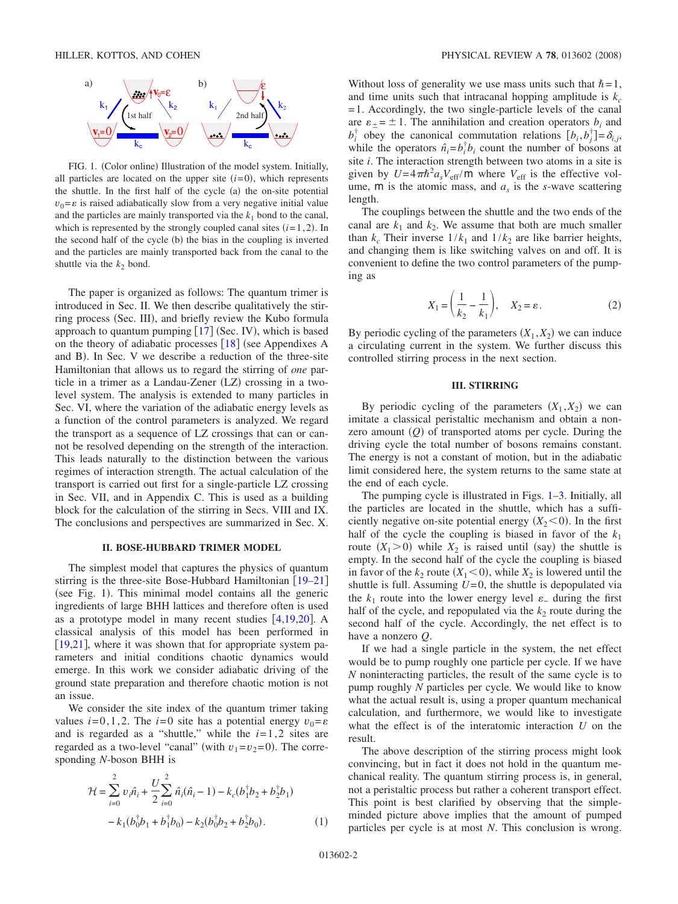<span id="page-1-0"></span>

FIG. 1. (Color online) Illustration of the model system. Initially, all particles are located on the upper site  $(i=0)$ , which represents the shuttle. In the first half of the cycle (a) the on-site potential  $v_0 = \varepsilon$  is raised adiabatically slow from a very negative initial value and the particles are mainly transported via the  $k_1$  bond to the canal, which is represented by the strongly coupled canal sites  $(i=1, 2)$ . In the second half of the cycle (b) the bias in the coupling is inverted and the particles are mainly transported back from the canal to the shuttle via the  $k_2$  bond.

The paper is organized as follows: The quantum trimer is introduced in Sec. II. We then describe qualitatively the stirring process (Sec. III), and briefly review the Kubo formula approach to quantum pumping  $[17]$  $[17]$  $[17]$  (Sec. IV), which is based on the theory of adiabatic processes  $[18]$  $[18]$  $[18]$  (see Appendixes A and B). In Sec. V we describe a reduction of the three-site Hamiltonian that allows us to regard the stirring of *one* particle in a trimer as a Landau-Zener (LZ) crossing in a twolevel system. The analysis is extended to many particles in Sec. VI, where the variation of the adiabatic energy levels as a function of the control parameters is analyzed. We regard the transport as a sequence of LZ crossings that can or cannot be resolved depending on the strength of the interaction. This leads naturally to the distinction between the various regimes of interaction strength. The actual calculation of the transport is carried out first for a single-particle LZ crossing in Sec. VII, and in Appendix C. This is used as a building block for the calculation of the stirring in Secs. VIII and IX. The conclusions and perspectives are summarized in Sec. X.

## **II. BOSE-HUBBARD TRIMER MODEL**

The simplest model that captures the physics of quantum stirring is the three-site Bose-Hubbard Hamiltonian  $\lceil 19-21 \rceil$  $\lceil 19-21 \rceil$  $\lceil 19-21 \rceil$ (see Fig.  $1$ ). This minimal model contains all the generic ingredients of large BHH lattices and therefore often is used as a prototype model in many recent studies  $[4,19,20]$  $[4,19,20]$  $[4,19,20]$  $[4,19,20]$  $[4,19,20]$ . A classical analysis of this model has been performed in  $[19,21]$  $[19,21]$  $[19,21]$  $[19,21]$ , where it was shown that for appropriate system parameters and initial conditions chaotic dynamics would emerge. In this work we consider adiabatic driving of the ground state preparation and therefore chaotic motion is not an issue.

We consider the site index of the quantum trimer taking values  $i=0,1,2$ . The  $i=0$  site has a potential energy  $v_0 = \varepsilon$ and is regarded as a "shuttle," while the  $i=1,2$  sites are regarded as a two-level "canal" (with  $v_1 = v_2 = 0$ ). The corresponding *N*-boson BHH is

$$
\mathcal{H} = \sum_{i=0}^{2} v_i \hat{n}_i + \frac{U}{2} \sum_{i=0}^{2} \hat{n}_i (\hat{n}_i - 1) - k_c (b_1^{\dagger} b_2 + b_2^{\dagger} b_1)
$$

$$
- k_1 (b_0^{\dagger} b_1 + b_1^{\dagger} b_0) - k_2 (b_0^{\dagger} b_2 + b_2^{\dagger} b_0).
$$
 (1)

Without loss of generality we use mass units such that  $\hbar = 1$ , and time units such that intracanal hopping amplitude is  $k_c$ =1. Accordingly, the two single-particle levels of the canal are  $\varepsilon_{\pm} = \pm 1$ . The annihilation and creation operators  $b_i$  and  $b_i^{\dagger}$  obey the canonical commutation relations  $[b_i, b_j^{\dagger}] = \delta_{i,j}$ , while the operators  $\hat{n}_i = b_i^{\dagger} b_i$  count the number of bosons at site *i*. The interaction strength between two atoms in a site is given by  $U = 4\pi\hbar^2 a_s V_{\text{eff}}/\text{m}$  where  $V_{\text{eff}}$  is the effective volume,  $m$  is the atomic mass, and  $a<sub>s</sub>$  is the *s*-wave scattering length.

The couplings between the shuttle and the two ends of the canal are  $k_1$  and  $k_2$ . We assume that both are much smaller than  $k_c$  Their inverse  $1/k_1$  and  $1/k_2$  are like barrier heights, and changing them is like switching valves on and off. It is convenient to define the two control parameters of the pumping as

$$
X_1 = \left(\frac{1}{k_2} - \frac{1}{k_1}\right), \quad X_2 = \varepsilon. \tag{2}
$$

By periodic cycling of the parameters  $(X_1, X_2)$  we can induce a circulating current in the system. We further discuss this controlled stirring process in the next section.

## **III. STIRRING**

By periodic cycling of the parameters  $(X_1, X_2)$  we can imitate a classical peristaltic mechanism and obtain a nonzero amount  $(Q)$  of transported atoms per cycle. During the driving cycle the total number of bosons remains constant. The energy is not a constant of motion, but in the adiabatic limit considered here, the system returns to the same state at the end of each cycle.

The pumping cycle is illustrated in Figs. [1–](#page-1-0)[3.](#page-2-0) Initially, all the particles are located in the shuttle, which has a sufficiently negative on-site potential energy  $(X_2 < 0)$ . In the first half of the cycle the coupling is biased in favor of the  $k_1$ route  $(X_1 > 0)$  while  $X_2$  is raised until (say) the shuttle is empty. In the second half of the cycle the coupling is biased in favor of the  $k_2$  route  $(X_1 < 0)$ , while  $X_2$  is lowered until the shuttle is full. Assuming  $U=0$ , the shuttle is depopulated via the  $k_1$  route into the lower energy level  $\varepsilon$ <sub>-</sub> during the first half of the cycle, and repopulated via the  $k_2$  route during the second half of the cycle. Accordingly, the net effect is to have a nonzero *Q*.

If we had a single particle in the system, the net effect would be to pump roughly one particle per cycle. If we have *N* noninteracting particles, the result of the same cycle is to pump roughly *N* particles per cycle. We would like to know what the actual result is, using a proper quantum mechanical calculation, and furthermore, we would like to investigate what the effect is of the interatomic interaction *U* on the result.

The above description of the stirring process might look convincing, but in fact it does not hold in the quantum mechanical reality. The quantum stirring process is, in general, not a peristaltic process but rather a coherent transport effect. This point is best clarified by observing that the simpleminded picture above implies that the amount of pumped particles per cycle is at most *N*. This conclusion is wrong.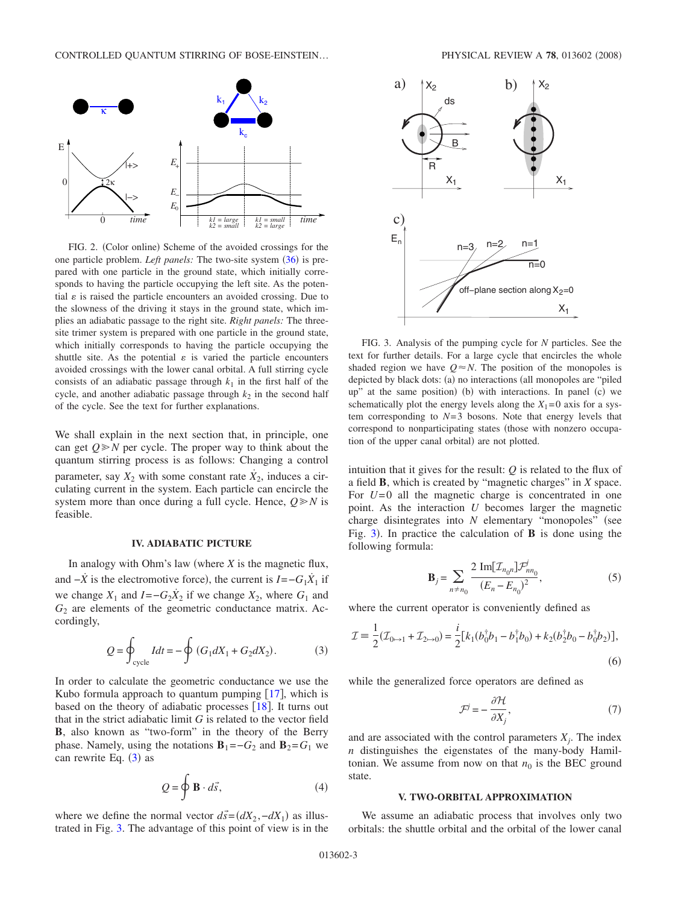<span id="page-2-2"></span>

FIG. 2. (Color online) Scheme of the avoided crossings for the one particle problem. *Left panels:* The two-site system ([36](#page-6-0)) is prepared with one particle in the ground state, which initially corresponds to having the particle occupying the left site. As the potential  $\varepsilon$  is raised the particle encounters an avoided crossing. Due to the slowness of the driving it stays in the ground state, which implies an adiabatic passage to the right site. *Right panels:* The threesite trimer system is prepared with one particle in the ground state, which initially corresponds to having the particle occupying the shuttle site. As the potential  $\varepsilon$  is varied the particle encounters avoided crossings with the lower canal orbital. A full stirring cycle consists of an adiabatic passage through  $k_1$  in the first half of the cycle, and another adiabatic passage through  $k_2$  in the second half of the cycle. See the text for further explanations.

We shall explain in the next section that, in principle, one can get  $Q \ge N$  per cycle. The proper way to think about the quantum stirring process is as follows: Changing a control parameter, say  $X_2$  with some constant rate  $\dot{X}_2$ , induces a circulating current in the system. Each particle can encircle the system more than once during a full cycle. Hence,  $Q \ge N$  is feasible.

### **IV. ADIABATIC PICTURE**

In analogy with Ohm's law (where  $X$  is the magnetic flux, and  $-\dot{X}$  is the electromotive force), the current is  $I = -G_1 \dot{X}_1$  if we change  $X_1$  and  $I = -G_2 \dot{X}_2$  if we change  $X_2$ , where  $G_1$  and *G*<sup>2</sup> are elements of the geometric conductance matrix. Accordingly,

$$
Q = \oint_{\text{cycle}} I dt = -\oint (G_1 dX_1 + G_2 dX_2). \tag{3}
$$

<span id="page-2-1"></span>In order to calculate the geometric conductance we use the Kubo formula approach to quantum pumping  $[17]$  $[17]$  $[17]$ , which is based on the theory of adiabatic processes  $[18]$  $[18]$  $[18]$ . It turns out that in the strict adiabatic limit *G* is related to the vector field **B**, also known as "two-form" in the theory of the Berry phase. Namely, using the notations  $\mathbf{B}_1 = -G_2$  and  $\mathbf{B}_2 = G_1$  we can rewrite Eq.  $(3)$  $(3)$  $(3)$  as

$$
Q = \oint \mathbf{B} \cdot d\vec{s},\tag{4}
$$

<span id="page-2-4"></span>where we define the normal vector  $d\vec{s} = (dX_2, -dX_1)$  as illustrated in Fig. [3.](#page-2-0) The advantage of this point of view is in the

<span id="page-2-0"></span>

FIG. 3. Analysis of the pumping cycle for *N* particles. See the text for further details. For a large cycle that encircles the whole shaded region we have  $Q \approx N$ . The position of the monopoles is depicted by black dots: (a) no interactions (all monopoles are "piled up" at the same position) (b) with interactions. In panel (c) we schematically plot the energy levels along the  $X_1=0$  axis for a system corresponding to  $N=3$  bosons. Note that energy levels that correspond to nonparticipating states (those with nonzero occupation of the upper canal orbital) are not plotted.

intuition that it gives for the result: *Q* is related to the flux of a field **B**, which is created by "magnetic charges" in *X* space. For *U*=0 all the magnetic charge is concentrated in one point. As the interaction *U* becomes larger the magnetic charge disintegrates into *N* elementary "monopoles" (see Fig.  $3$ ). In practice the calculation of **B** is done using the following formula:

$$
\mathbf{B}_{j} = \sum_{n \neq n_{0}} \frac{2 \operatorname{Im}[\mathcal{I}_{n_{0}n}] \mathcal{F}_{nn_{0}}^{j}}{(E_{n} - E_{n_{0}})^{2}},
$$
(5)

<span id="page-2-3"></span>where the current operator is conveniently defined as

$$
\mathcal{I} = \frac{1}{2}(\mathcal{I}_{0 \to 1} + \mathcal{I}_{2 \to 0}) = \frac{i}{2} [k_1(b_0^{\dagger}b_1 - b_1^{\dagger}b_0) + k_2(b_2^{\dagger}b_0 - b_0^{\dagger}b_2)],
$$
\n(6)

 $\sim$ 

while the generalized force operators are defined as

$$
\mathcal{F}^j = -\frac{\partial \mathcal{H}}{\partial X_j},\tag{7}
$$

and are associated with the control parameters  $X_i$ . The index *n* distinguishes the eigenstates of the many-body Hamiltonian. We assume from now on that  $n_0$  is the BEC ground state.

### **V. TWO-ORBITAL APPROXIMATION**

We assume an adiabatic process that involves only two orbitals: the shuttle orbital and the orbital of the lower canal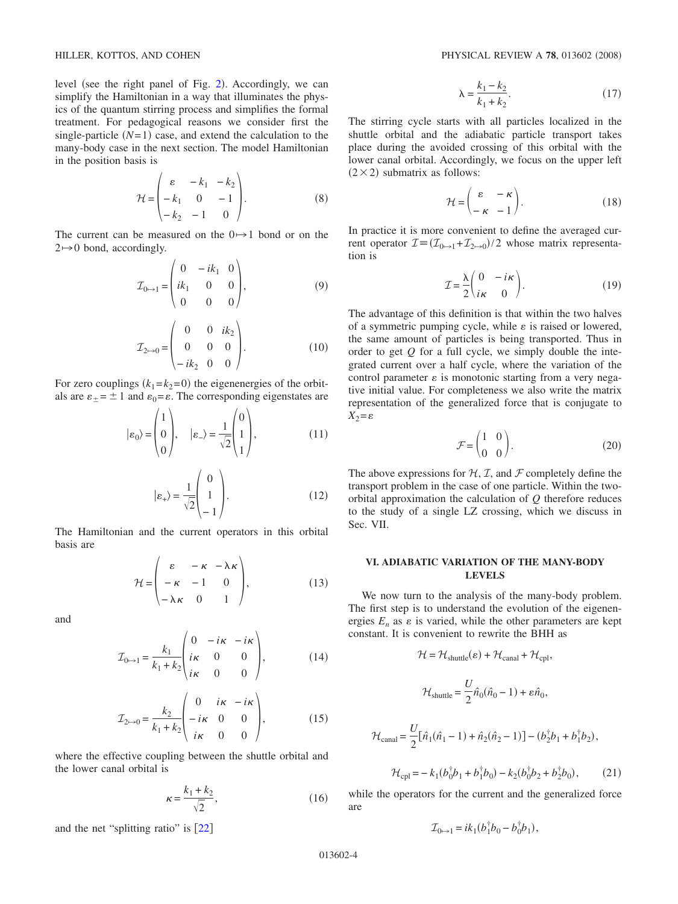level (see the right panel of Fig. [2](#page-2-2)). Accordingly, we can simplify the Hamiltonian in a way that illuminates the physics of the quantum stirring process and simplifies the formal treatment. For pedagogical reasons we consider first the single-particle  $(N=1)$  case, and extend the calculation to the many-body case in the next section. The model Hamiltonian in the position basis is

$$
\mathcal{H} = \begin{pmatrix} \varepsilon & -k_1 & -k_2 \\ -k_1 & 0 & -1 \\ -k_2 & -1 & 0 \end{pmatrix} . \tag{8}
$$

The current can be measured on the  $0 \rightarrow 1$  bond or on the  $2 \rightarrow 0$  bond, accordingly.

$$
\mathcal{I}_{0 \to 1} = \begin{pmatrix} 0 & -ik_1 & 0 \\ ik_1 & 0 & 0 \\ 0 & 0 & 0 \end{pmatrix},
$$
 (9)

$$
\mathcal{I}_{2 \to 0} = \begin{pmatrix} 0 & 0 & ik_2 \\ 0 & 0 & 0 \\ -ik_2 & 0 & 0 \end{pmatrix} . \tag{10}
$$

For zero couplings  $(k_1 = k_2 = 0)$  the eigenenergies of the orbitals are  $\varepsilon_{\pm} = \pm 1$  and  $\varepsilon_0 = \varepsilon$ . The corresponding eigenstates are

$$
|\varepsilon_0\rangle = \begin{pmatrix} 1 \\ 0 \\ 0 \end{pmatrix}, \quad |\varepsilon_-\rangle = \frac{1}{\sqrt{2}} \begin{pmatrix} 0 \\ 1 \\ 1 \end{pmatrix}, \tag{11}
$$

$$
|\varepsilon_{+}\rangle = \frac{1}{\sqrt{2}} \begin{pmatrix} 0 \\ 1 \\ -1 \end{pmatrix} .
$$
 (12)

The Hamiltonian and the current operators in this orbital basis are

$$
\mathcal{H} = \begin{pmatrix} \varepsilon & -\kappa & -\lambda \kappa \\ -\kappa & -1 & 0 \\ -\lambda \kappa & 0 & 1 \end{pmatrix},
$$
(13)

and

$$
\mathcal{I}_{0\rightarrow 1} = \frac{k_1}{k_1 + k_2} \begin{pmatrix} 0 & -i\kappa & -i\kappa \\ i\kappa & 0 & 0 \\ i\kappa & 0 & 0 \end{pmatrix},
$$
(14)

$$
\mathcal{I}_{2\mapsto 0} = \frac{k_2}{k_1 + k_2} \begin{pmatrix} 0 & i\kappa & -i\kappa \\ -i\kappa & 0 & 0 \\ i\kappa & 0 & 0 \end{pmatrix},
$$
(15)

where the effective coupling between the shuttle orbital and the lower canal orbital is

$$
\kappa = \frac{k_1 + k_2}{\sqrt{2}},\tag{16}
$$

and the net "splitting ratio" is  $[22]$  $[22]$  $[22]$ 

$$
\lambda = \frac{k_1 - k_2}{k_1 + k_2}.
$$
 (17)

The stirring cycle starts with all particles localized in the shuttle orbital and the adiabatic particle transport takes place during the avoided crossing of this orbital with the lower canal orbital. Accordingly, we focus on the upper left  $(2 \times 2)$  submatrix as follows:

$$
\mathcal{H} = \begin{pmatrix} \varepsilon & -\kappa \\ -\kappa & -1 \end{pmatrix} . \tag{18}
$$

In practice it is more convenient to define the averaged current operator  $\mathcal{I} = (\mathcal{I}_{0 \rightarrow 1} + \mathcal{I}_{2 \rightarrow 0})/2$  whose matrix representation is

$$
\mathcal{I} = \frac{\lambda}{2} \begin{pmatrix} 0 & -i\kappa \\ i\kappa & 0 \end{pmatrix} . \tag{19}
$$

The advantage of this definition is that within the two halves of a symmetric pumping cycle, while  $\varepsilon$  is raised or lowered, the same amount of particles is being transported. Thus in order to get *Q* for a full cycle, we simply double the integrated current over a half cycle, where the variation of the control parameter  $\varepsilon$  is monotonic starting from a very negative initial value. For completeness we also write the matrix representation of the generalized force that is conjugate to  $X_2 = \varepsilon$ 

$$
\mathcal{F} = \begin{pmatrix} 1 & 0 \\ 0 & 0 \end{pmatrix} . \tag{20}
$$

The above expressions for  $H, T$ , and  $\mathcal F$  completely define the transport problem in the case of one particle. Within the twoorbital approximation the calculation of *Q* therefore reduces to the study of a single LZ crossing, which we discuss in Sec. VII.

# **VI. ADIABATIC VARIATION OF THE MANY-BODY LEVELS**

We now turn to the analysis of the many-body problem. The first step is to understand the evolution of the eigenenergies  $E_n$  as  $\varepsilon$  is varied, while the other parameters are kept constant. It is convenient to rewrite the BHH as

$$
\mathcal{H} = \mathcal{H}_{\text{shuttle}}(\varepsilon) + \mathcal{H}_{\text{canal}} + \mathcal{H}_{\text{cpl}},
$$
  

$$
\mathcal{H}_{\text{shuttle}} = \frac{U}{2} \hat{n}_0 (\hat{n}_0 - 1) + \varepsilon \hat{n}_0,
$$
  

$$
\mathcal{H}_{\text{canal}} = \frac{U}{2} [\hat{n}_1 (\hat{n}_1 - 1) + \hat{n}_2 (\hat{n}_2 - 1)] - (b_2^{\dagger} b_1 + b_1^{\dagger} b_2),
$$
  

$$
\mathcal{H}_{\text{cpl}} = -k_1 (b_0^{\dagger} b_1 + b_1^{\dagger} b_0) - k_2 (b_0^{\dagger} b_2 + b_2^{\dagger} b_0), \qquad (21)
$$

while the operators for the current and the generalized force are

$$
\mathcal{I}_{0 \mapsto 1} = ik_1(b_1^{\dagger}b_0 - b_0^{\dagger}b_1),
$$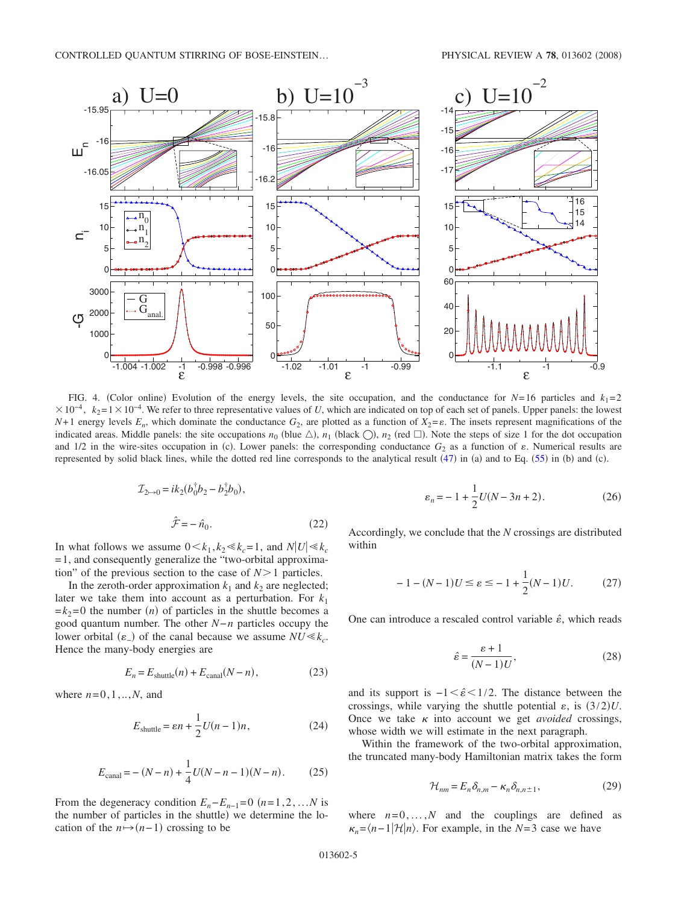<span id="page-4-0"></span>

FIG. 4. (Color online) Evolution of the energy levels, the site occupation, and the conductance for  $N=16$  particles and  $k_1=2$  $\times 10^{-4}$ ,  $k_2=1\times 10^{-4}$ . We refer to three representative values of *U*, which are indicated on top of each set of panels. Upper panels: the lowest *N*+1 energy levels  $E_n$ , which dominate the conductance  $G_2$ , are plotted as a function of  $X_2 = \varepsilon$ . The insets represent magnifications of the indicated areas. Middle panels: the site occupations  $n_0$  (blue  $\triangle$ ),  $n_1$  (black  $\bigcirc$ ),  $n_2$  (red  $\Box$ ). Note the steps of size 1 for the dot occupation and  $1/2$  in the wire-sites occupation in (c). Lower panels: the corresponding conductance  $G_2$  as a function of  $\varepsilon$ . Numerical results are represented by solid black lines, while the dotted red line corresponds to the analytical result  $(47)$  $(47)$  $(47)$  in (a) and to Eq. ([55](#page-8-0)) in (b) and (c).

$$
\mathcal{I}_{2 \to 0} = ik_2(b_0^{\dagger}b_2 - b_2^{\dagger}b_0),
$$
  

$$
\hat{\mathcal{F}} = -\hat{n}_0.
$$
 (22)

In what follows we assume  $0 \lt k_1, k_2 \ll k_c = 1$ , and  $N|U| \ll k_c$  $=1$ , and consequently generalize the "two-orbital approximation" of the previous section to the case of  $N>1$  particles.

In the zeroth-order approximation  $k_1$  and  $k_2$  are neglected; later we take them into account as a perturbation. For  $k_1$  $=k_2=0$  the number *(n)* of particles in the shuttle becomes a good quantum number. The other *N*−*n* particles occupy the lower orbital  $(\varepsilon)$  of the canal because we assume  $NU \ll k_c$ . Hence the many-body energies are

$$
E_n = E_{\text{shuttle}}(n) + E_{\text{canal}}(N - n),\tag{23}
$$

where  $n=0,1,...,N$ , and

$$
E_{\text{shuttle}} = \varepsilon n + \frac{1}{2}U(n-1)n,\tag{24}
$$

$$
E_{\text{canal}} = -(N - n) + \frac{1}{4}U(N - n - 1)(N - n). \tag{25}
$$

From the degeneracy condition  $E_n - E_{n-1} = 0$  ( $n = 1, 2, ...N$  is the number of particles in the shuttle) we determine the location of the  $n \mapsto (n-1)$  crossing to be

$$
\varepsilon_n = -1 + \frac{1}{2}U(N - 3n + 2). \tag{26}
$$

Accordingly, we conclude that the *N* crossings are distributed within

$$
-1 - (N - 1)U \le \varepsilon \le -1 + \frac{1}{2}(N - 1)U. \tag{27}
$$

One can introduce a rescaled control variable  $\hat{\epsilon}$ , which reads

$$
\hat{\varepsilon} = \frac{\varepsilon + 1}{(N - 1)U},\tag{28}
$$

<span id="page-4-1"></span>and its support is  $-1 < \hat{\epsilon} < 1/2$ . The distance between the crossings, while varying the shuttle potential  $\varepsilon$ , is  $(3/2)U$ . Once we take  $\kappa$  into account we get *avoided* crossings, whose width we will estimate in the next paragraph.

Within the framework of the two-orbital approximation, the truncated many-body Hamiltonian matrix takes the form

$$
\mathcal{H}_{nm} = E_n \delta_{n,m} - \kappa_n \delta_{n,n \pm 1},\tag{29}
$$

where  $n=0,\ldots,N$  and the couplings are defined as  $\kappa_n = \frac{\lambda_n - 1}{\mathcal{H}} \mid n$ . For example, in the *N*=3 case we have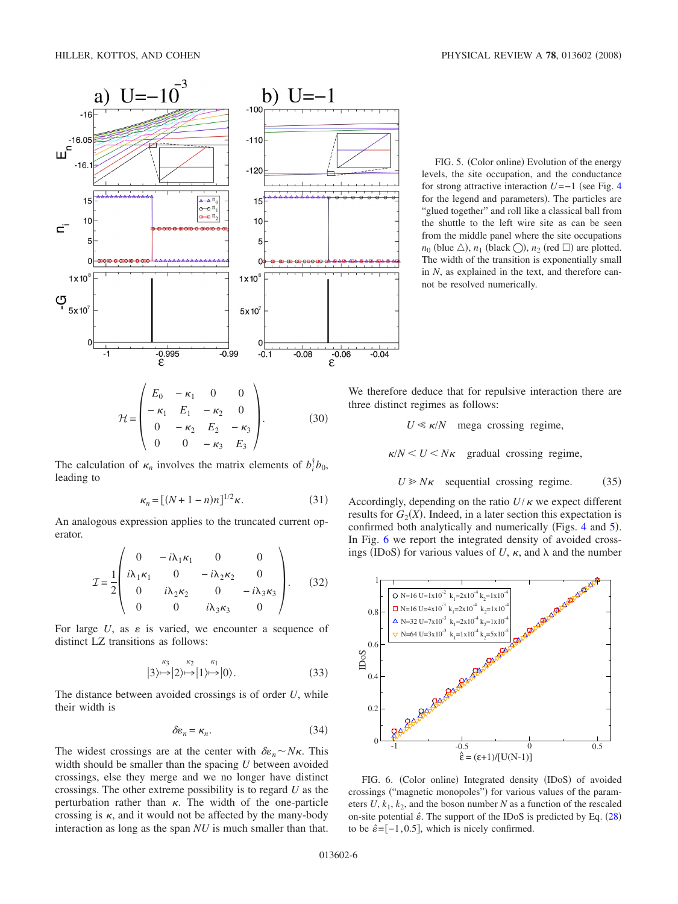<span id="page-5-0"></span>

FIG. 5. (Color online) Evolution of the energy levels, the site occupation, and the conductance for strong attractive interaction  $U=-1$  (see Fig. [4](#page-4-0) for the legend and parameters). The particles are "glued together" and roll like a classical ball from the shuttle to the left wire site as can be seen from the middle panel where the site occupations  $n_0$  (blue  $\triangle$ ),  $n_1$  (black  $\bigcirc$ ),  $n_2$  (red  $\Box$ ) are plotted. The width of the transition is exponentially small in *N*, as explained in the text, and therefore cannot be resolved numerically.

 $\mathcal{H} =$  $\Big($  $E_0$  −  $\kappa_1$  0 0  $- \kappa_1$  *E*<sub>1</sub> −  $\kappa_2$  0 0  $-\kappa_2$   $E_2$   $-\kappa_3$ 0 0  $-\kappa_3$  *E*<sub>3</sub>  $\Bigg)$ . (30)  $(30)$ 

The calculation of  $\kappa_n$  involves the matrix elements of  $b_i^{\dagger}b_0$ , leading to

$$
\kappa_n = \left[ (N+1-n)n \right]^{1/2} \kappa. \tag{31}
$$

An analogous expression applies to the truncated current operator.

$$
\mathcal{I} = \frac{1}{2} \begin{pmatrix} 0 & -i\lambda_1 \kappa_1 & 0 & 0 \\ i\lambda_1 \kappa_1 & 0 & -i\lambda_2 \kappa_2 & 0 \\ 0 & i\lambda_2 \kappa_2 & 0 & -i\lambda_3 \kappa_3 \\ 0 & 0 & i\lambda_3 \kappa_3 & 0 \end{pmatrix} .
$$
 (32)

For large  $U$ , as  $\varepsilon$  is varied, we encounter a sequence of distinct LZ transitions as follows:

$$
|3\rangle \mapsto |2\rangle \mapsto |1\rangle \mapsto |0\rangle. \tag{33}
$$

The distance between avoided crossings is of order *U*, while their width is

$$
\delta \varepsilon_n = \kappa_n. \tag{34}
$$

The widest crossings are at the center with  $\delta \varepsilon_n \sim N \kappa$ . This width should be smaller than the spacing *U* between avoided crossings, else they merge and we no longer have distinct crossings. The other extreme possibility is to regard *U* as the perturbation rather than  $\kappa$ . The width of the one-particle crossing is  $\kappa$ , and it would not be affected by the many-body interaction as long as the span *NU* is much smaller than that.

We therefore deduce that for repulsive interaction there are three distinct regimes as follows:

 $U \ll \kappa/N$  mega crossing regime,

 $\kappa/N < U < N\kappa$  gradual crossing regime,

 $U \geq N\kappa$  sequential crossing regime.  $(35)$ 

Accordingly, depending on the ratio  $U/\kappa$  we expect different results for  $G_2(X)$ . Indeed, in a later section this expectation is confirmed both analytically and numerically (Figs. [4](#page-4-0) and [5](#page-5-0)). In Fig. [6](#page-5-1) we report the integrated density of avoided crossings (IDoS) for various values of  $U$ ,  $\kappa$ , and  $\lambda$  and the number

<span id="page-5-1"></span>

FIG. 6. (Color online) Integrated density (IDoS) of avoided crossings ("magnetic monopoles") for various values of the parameters  $U, k_1, k_2$ , and the boson number  $N$  as a function of the rescaled on-site potential  $\hat{\epsilon}$ . The support of the IDoS is predicted by Eq. ([28](#page-4-1)) to be  $\hat{\epsilon}$  =[-1,0.5], which is nicely confirmed.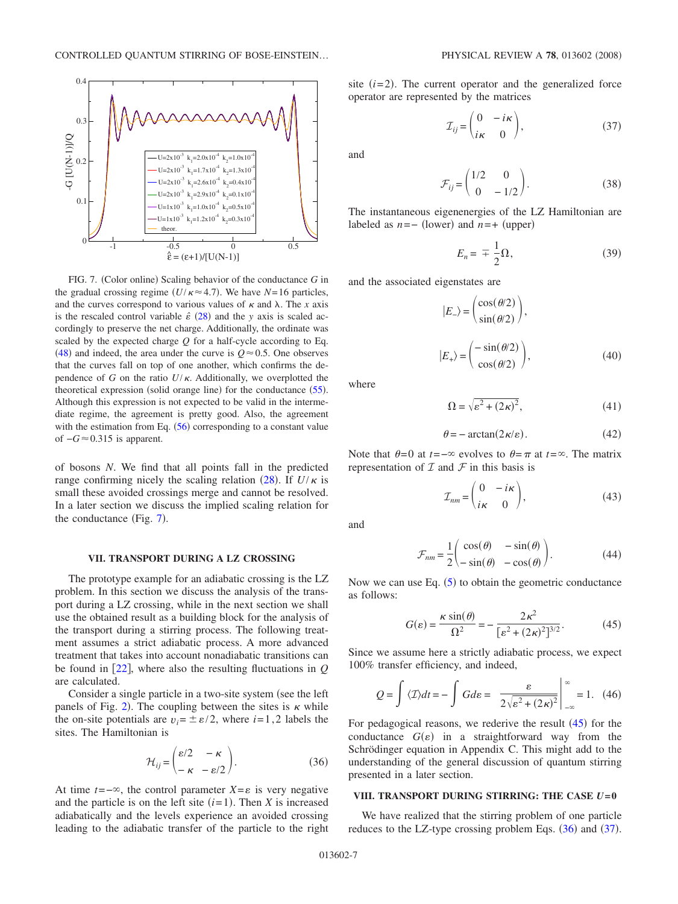<span id="page-6-1"></span>

FIG. 7. (Color online) Scaling behavior of the conductance *G* in the gradual crossing regime  $(U/\kappa \approx 4.7)$ . We have  $N=16$  particles, and the curves correspond to various values of  $\kappa$  and  $\lambda$ . The *x* axis is the rescaled control variable  $\hat{\varepsilon}$  ([28](#page-4-1)) and the *y* axis is scaled accordingly to preserve the net charge. Additionally, the ordinate was scaled by the expected charge *Q* for a half-cycle according to Eq. ([48](#page-7-1)) and indeed, the area under the curve is  $Q \approx 0.5$ . One observes that the curves fall on top of one another, which confirms the dependence of *G* on the ratio  $U/\kappa$ . Additionally, we overplotted the theoretical expression (solid orange line) for the conductance ([55](#page-8-0)). Although this expression is not expected to be valid in the intermediate regime, the agreement is pretty good. Also, the agreement with the estimation from Eq.  $(56)$  $(56)$  $(56)$  corresponding to a constant value of  $-G \approx 0.315$  is apparent.

of bosons *N*. We find that all points fall in the predicted range confirming nicely the scaling relation  $(28)$  $(28)$  $(28)$ . If  $U/\kappa$  is small these avoided crossings merge and cannot be resolved. In a later section we discuss the implied scaling relation for the conductance (Fig.  $7$ ).

### **VII. TRANSPORT DURING A LZ CROSSING**

The prototype example for an adiabatic crossing is the LZ problem. In this section we discuss the analysis of the transport during a LZ crossing, while in the next section we shall use the obtained result as a building block for the analysis of the transport during a stirring process. The following treatment assumes a strict adiabatic process. A more advanced treatment that takes into account nonadiabatic transitions can be found in  $[22]$  $[22]$  $[22]$ , where also the resulting fluctuations in  $Q$ are calculated.

Consider a single particle in a two-site system (see the left panels of Fig. [2](#page-2-2)). The coupling between the sites is  $\kappa$  while the on-site potentials are  $v_i = \pm \varepsilon/2$ , where  $i = 1, 2$  labels the sites. The Hamiltonian is

$$
\mathcal{H}_{ij} = \begin{pmatrix} \varepsilon/2 & -\kappa \\ -\kappa & -\varepsilon/2 \end{pmatrix} . \tag{36}
$$

<span id="page-6-0"></span>At time  $t = -\infty$ , the control parameter  $X = \varepsilon$  is very negative and the particle is on the left site  $(i=1)$ . Then *X* is increased adiabatically and the levels experience an avoided crossing leading to the adiabatic transfer of the particle to the right

site  $(i=2)$ . The current operator and the generalized force operator are represented by the matrices

$$
\mathcal{I}_{ij} = \begin{pmatrix} 0 & -i\kappa \\ i\kappa & 0 \end{pmatrix},\tag{37}
$$

<span id="page-6-2"></span>and

$$
\mathcal{F}_{ij} = \begin{pmatrix} 1/2 & 0 \\ 0 & -1/2 \end{pmatrix}.
$$
 (38)

The instantaneous eigenenergies of the LZ Hamiltonian are labeled as  $n = -$  (lower) and  $n = +$  (upper)

$$
E_n = \mp \frac{1}{2} \Omega, \tag{39}
$$

<span id="page-6-3"></span>and the associated eigenstates are

$$
|E_{-}\rangle = \begin{pmatrix} \cos(\theta/2) \\ \sin(\theta/2) \end{pmatrix},
$$
  

$$
|E_{+}\rangle = \begin{pmatrix} -\sin(\theta/2) \\ \cos(\theta/2) \end{pmatrix},
$$
 (40)

where

$$
\Omega = \sqrt{\varepsilon^2 + (2\kappa)^2},\tag{41}
$$

$$
\theta = -\arctan(2\kappa/\varepsilon). \tag{42}
$$

Note that  $\theta=0$  at  $t=-\infty$  evolves to  $\theta=\pi$  at  $t=\infty$ . The matrix representation of  $\mathcal I$  and  $\mathcal F$  in this basis is

$$
\mathcal{I}_{nm} = \begin{pmatrix} 0 & -i\kappa \\ i\kappa & 0 \end{pmatrix},\tag{43}
$$

and

$$
\mathcal{F}_{nm} = \frac{1}{2} \begin{pmatrix} \cos(\theta) & -\sin(\theta) \\ -\sin(\theta) & -\cos(\theta) \end{pmatrix}.
$$
 (44)

Now we can use Eq.  $(5)$  $(5)$  $(5)$  to obtain the geometric conductance as follows:

$$
G(\varepsilon) = \frac{\kappa \sin(\theta)}{\Omega^2} = -\frac{2\kappa^2}{\left[\varepsilon^2 + (2\kappa)^2\right]^{3/2}}.\tag{45}
$$

Since we assume here a strictly adiabatic process, we expect 100% transfer efficiency, and indeed,

$$
Q = \int \langle \mathcal{I} \rangle dt = -\int G d\varepsilon = \left. \frac{\varepsilon}{2\sqrt{\varepsilon^2 + (2\kappa)^2}} \right|_{-\infty}^{\infty} = 1. \quad (46)
$$

For pedagogical reasons, we rederive the result  $(45)$  $(45)$  $(45)$  for the conductance  $G(\varepsilon)$  in a straightforward way from the Schrödinger equation in Appendix C. This might add to the understanding of the general discussion of quantum stirring presented in a later section.

# VIII. TRANSPORT DURING STIRRING: THE CASE  $U=0$

We have realized that the stirring problem of one particle reduces to the LZ-type crossing problem Eqs.  $(36)$  $(36)$  $(36)$  and  $(37)$  $(37)$  $(37)$ .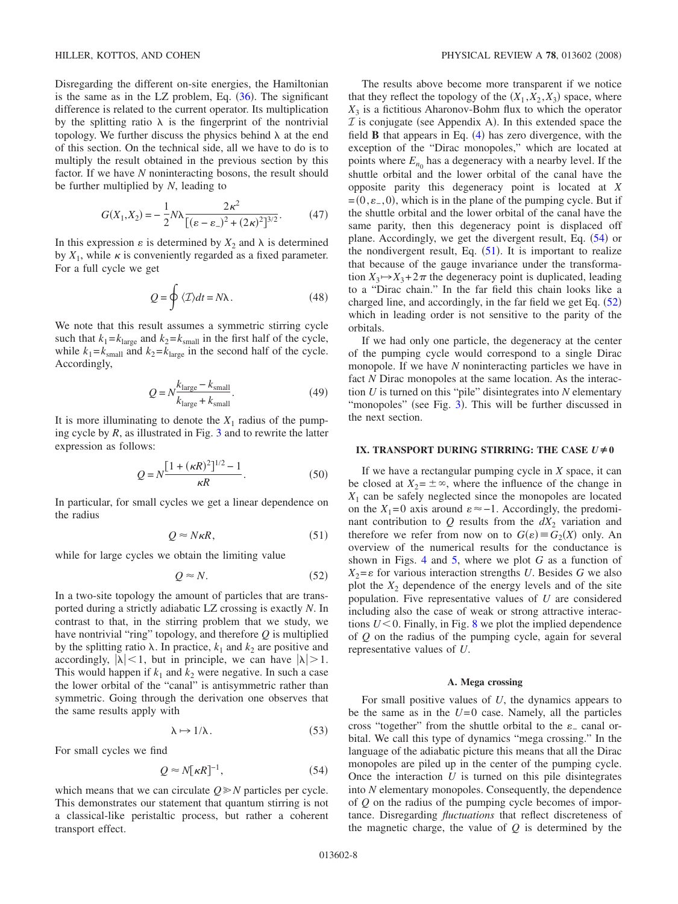Disregarding the different on-site energies, the Hamiltonian is the same as in the LZ problem, Eq.  $(36)$  $(36)$  $(36)$ . The significant difference is related to the current operator. Its multiplication by the splitting ratio  $\lambda$  is the fingerprint of the nontrivial topology. We further discuss the physics behind  $\lambda$  at the end of this section. On the technical side, all we have to do is to multiply the result obtained in the previous section by this factor. If we have *N* noninteracting bosons, the result should be further multiplied by *N*, leading to

$$
G(X_1, X_2) = -\frac{1}{2} N \lambda \frac{2\kappa^2}{[(\varepsilon - \varepsilon_*)^2 + (2\kappa)^2]^{3/2}}.
$$
 (47)

<span id="page-7-0"></span>In this expression  $\varepsilon$  is determined by  $X_2$  and  $\lambda$  is determined by  $X_1$ , while  $\kappa$  is conveniently regarded as a fixed parameter. For a full cycle we get

$$
Q = \oint \langle \mathcal{I} \rangle dt = N\lambda. \tag{48}
$$

<span id="page-7-1"></span>We note that this result assumes a symmetric stirring cycle such that  $k_1 = k_{\text{large}}$  and  $k_2 = k_{\text{small}}$  in the first half of the cycle, while  $k_1 = k_{\text{small}}$  and  $k_2 = k_{\text{large}}$  in the second half of the cycle. Accordingly,

$$
Q = N \frac{k_{\text{large}} - k_{\text{small}}}{k_{\text{large}} + k_{\text{small}}}.
$$
\n(49)

It is more illuminating to denote the  $X_1$  radius of the pumping cycle by  $R$ , as illustrated in Fig.  $3$  and to rewrite the latter expression as follows:

$$
Q = N \frac{[1 + (\kappa R)^2]^{1/2} - 1}{\kappa R}.
$$
 (50)

In particular, for small cycles we get a linear dependence on the radius

$$
Q \approx N\kappa R,\tag{51}
$$

<span id="page-7-3"></span>while for large cycles we obtain the limiting value

$$
Q \approx N. \tag{52}
$$

<span id="page-7-4"></span>In a two-site topology the amount of particles that are transported during a strictly adiabatic LZ crossing is exactly *N*. In contrast to that, in the stirring problem that we study, we have nontrivial "ring" topology, and therefore *Q* is multiplied by the splitting ratio  $\lambda$ . In practice,  $k_1$  and  $k_2$  are positive and accordingly,  $|\lambda| < 1$ , but in principle, we can have  $|\lambda| > 1$ . This would happen if  $k_1$  and  $k_2$  were negative. In such a case the lower orbital of the "canal" is antisymmetric rather than symmetric. Going through the derivation one observes that the same results apply with

$$
\lambda \mapsto 1/\lambda. \tag{53}
$$

For small cycles we find

$$
Q \approx N[\kappa R]^{-1},\tag{54}
$$

<span id="page-7-2"></span>which means that we can circulate  $Q \ge N$  particles per cycle. This demonstrates our statement that quantum stirring is not a classical-like peristaltic process, but rather a coherent transport effect.

The results above become more transparent if we notice that they reflect the topology of the  $(X_1, X_2, X_3)$  space, where  $X_3$  is a fictitious Aharonov-Bohm flux to which the operator  $I$  is conjugate (see Appendix A). In this extended space the field  $\bf{B}$  that appears in Eq.  $(4)$  $(4)$  $(4)$  has zero divergence, with the exception of the "Dirac monopoles," which are located at points where  $E_{n_0}$  has a degeneracy with a nearby level. If the shuttle orbital and the lower orbital of the canal have the opposite parity this degeneracy point is located at *X*  $=(0, \varepsilon_-, 0)$ , which is in the plane of the pumping cycle. But if the shuttle orbital and the lower orbital of the canal have the same parity, then this degeneracy point is displaced off plane. Accordingly, we get the divergent result, Eq. ([54](#page-7-2)) or the nondivergent result, Eq.  $(51)$  $(51)$  $(51)$ . It is important to realize that because of the gauge invariance under the transformation  $X_3 \mapsto X_3 + 2\pi$  the degeneracy point is duplicated, leading to a "Dirac chain." In the far field this chain looks like a charged line, and accordingly, in the far field we get Eq.  $(52)$  $(52)$  $(52)$ which in leading order is not sensitive to the parity of the orbitals.

If we had only one particle, the degeneracy at the center of the pumping cycle would correspond to a single Dirac monopole. If we have *N* noninteracting particles we have in fact *N* Dirac monopoles at the same location. As the interaction *U* is turned on this "pile" disintegrates into *N* elementary "monopoles" (see Fig. [3](#page-2-0)). This will be further discussed in the next section.

# **IX. TRANSPORT DURING STIRRING: THE CASE**  $U \neq 0$

If we have a rectangular pumping cycle in *X* space, it can be closed at  $X_2 = \pm \infty$ , where the influence of the change in *X*<sup>1</sup> can be safely neglected since the monopoles are located on the  $X_1 = 0$  axis around  $\varepsilon \approx -1$ . Accordingly, the predominant contribution to  $Q$  results from the  $dX_2$  variation and therefore we refer from now on to  $G(\varepsilon) \equiv G_2(X)$  only. An overview of the numerical results for the conductance is shown in Figs. [4](#page-4-0) and [5,](#page-5-0) where we plot *G* as a function of  $X_2 = \varepsilon$  for various interaction strengths *U*. Besides *G* we also plot the  $X_2$  dependence of the energy levels and of the site population. Five representative values of *U* are considered including also the case of weak or strong attractive interactions  $U<0$ . Finally, in Fig. [8](#page-8-2) we plot the implied dependence of *Q* on the radius of the pumping cycle, again for several representative values of *U*.

## **A. Mega crossing**

For small positive values of *U*, the dynamics appears to be the same as in the  $U=0$  case. Namely, all the particles cross "together" from the shuttle orbital to the  $\varepsilon$  canal orbital. We call this type of dynamics "mega crossing." In the language of the adiabatic picture this means that all the Dirac monopoles are piled up in the center of the pumping cycle. Once the interaction *U* is turned on this pile disintegrates into *N* elementary monopoles. Consequently, the dependence of *Q* on the radius of the pumping cycle becomes of importance. Disregarding *fluctuations* that reflect discreteness of the magnetic charge, the value of *Q* is determined by the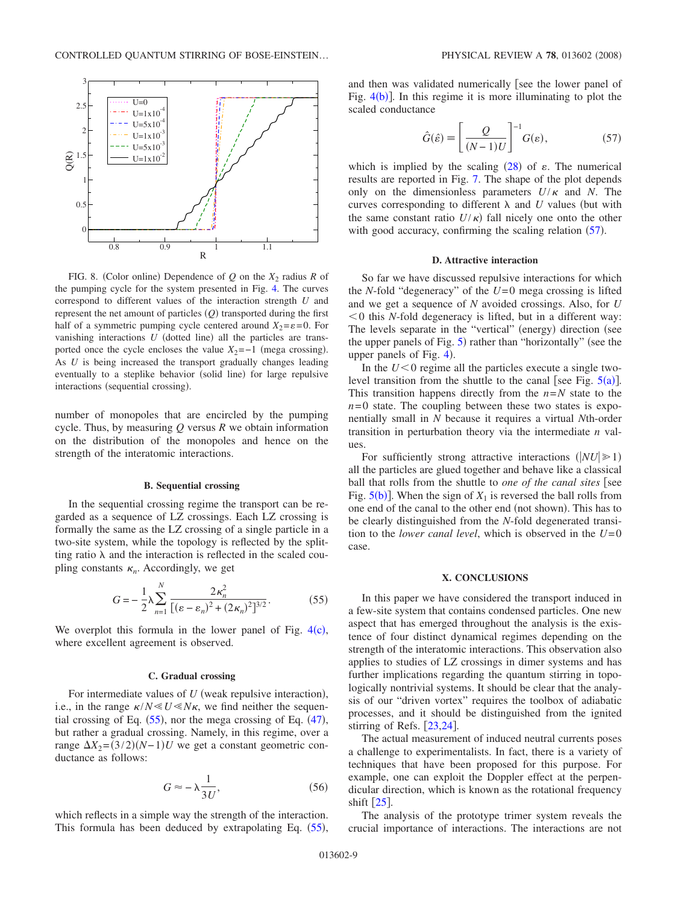<span id="page-8-2"></span>

FIG. 8. (Color online) Dependence of  $Q$  on the  $X_2$  radius  $R$  of the pumping cycle for the system presented in Fig. [4.](#page-4-0) The curves correspond to different values of the interaction strength *U* and represent the net amount of particles (*Q*) transported during the first half of a symmetric pumping cycle centered around  $X_2 = \varepsilon = 0$ . For vanishing interactions  $U$  (dotted line) all the particles are transported once the cycle encloses the value  $X_2 = -1$  (mega crossing). As *U* is being increased the transport gradually changes leading eventually to a steplike behavior (solid line) for large repulsive interactions (sequential crossing).

number of monopoles that are encircled by the pumping cycle. Thus, by measuring *Q* versus *R* we obtain information on the distribution of the monopoles and hence on the strength of the interatomic interactions.

### **B. Sequential crossing**

In the sequential crossing regime the transport can be regarded as a sequence of LZ crossings. Each LZ crossing is formally the same as the LZ crossing of a single particle in a two-site system, while the topology is reflected by the splitting ratio  $\lambda$  and the interaction is reflected in the scaled coupling constants  $\kappa_n$ . Accordingly, we get

$$
G = -\frac{1}{2}\lambda \sum_{n=1}^{N} \frac{2\kappa_n^2}{[(\varepsilon - \varepsilon_n)^2 + (2\kappa_n)^2]^{3/2}}.
$$
 (55)

<span id="page-8-0"></span>We overplot this formula in the lower panel of Fig.  $4(c)$  $4(c)$ , where excellent agreement is observed.

### **C. Gradual crossing**

For intermediate values of  $U$  (weak repulsive interaction), i.e., in the range  $\kappa/N \ll U \ll N\kappa$ , we find neither the sequential crossing of Eq.  $(55)$  $(55)$  $(55)$ , nor the mega crossing of Eq.  $(47)$  $(47)$  $(47)$ , but rather a gradual crossing. Namely, in this regime, over a range  $\Delta X_2 = (3/2)(N-1)U$  we get a constant geometric conductance as follows:

$$
G \approx -\lambda \frac{1}{3U},\tag{56}
$$

<span id="page-8-1"></span>which reflects in a simple way the strength of the interaction. This formula has been deduced by extrapolating Eq. ([55](#page-8-0)),

and then was validated numerically [see the lower panel of Fig.  $4(b)$  $4(b)$ ]. In this regime it is more illuminating to plot the scaled conductance

$$
\hat{G}(\hat{\varepsilon}) = \left[\frac{Q}{(N-1)U}\right]^{-1} G(\varepsilon),\tag{57}
$$

<span id="page-8-3"></span>which is implied by the scaling  $(28)$  $(28)$  $(28)$  of  $\varepsilon$ . The numerical results are reported in Fig. [7.](#page-6-1) The shape of the plot depends only on the dimensionless parameters  $U/\kappa$  and *N*. The curves corresponding to different  $\lambda$  and  $U$  values (but with the same constant ratio  $U/\kappa$ ) fall nicely one onto the other with good accuracy, confirming the scaling relation  $(57)$  $(57)$  $(57)$ .

#### **D. Attractive interaction**

So far we have discussed repulsive interactions for which the *N*-fold "degeneracy" of the *U*=0 mega crossing is lifted and we get a sequence of *N* avoided crossings. Also, for *U* 0 this *N*-fold degeneracy is lifted, but in a different way: The levels separate in the "vertical" (energy) direction (see the upper panels of Fig. [5](#page-5-0)) rather than "horizontally" (see the upper panels of Fig.  $4$ ).

In the  $U<0$  regime all the particles execute a single twolevel transition from the shuttle to the canal [see Fig.  $5(a)$  $5(a)$ ]. This transition happens directly from the  $n=N$  state to the  $n=0$  state. The coupling between these two states is exponentially small in *N* because it requires a virtual *N*th-order transition in perturbation theory via the intermediate *n* values.

For sufficiently strong attractive interactions  $(|NU| \ge 1)$ all the particles are glued together and behave like a classical ball that rolls from the shuttle to *one of the canal sites* [see Fig.  $5(b)$  $5(b)$ ]. When the sign of  $X_1$  is reversed the ball rolls from one end of the canal to the other end (not shown). This has to be clearly distinguished from the *N*-fold degenerated transition to the *lower canal level*, which is observed in the *U*=0 case.

### **X. CONCLUSIONS**

In this paper we have considered the transport induced in a few-site system that contains condensed particles. One new aspect that has emerged throughout the analysis is the existence of four distinct dynamical regimes depending on the strength of the interatomic interactions. This observation also applies to studies of LZ crossings in dimer systems and has further implications regarding the quantum stirring in topologically nontrivial systems. It should be clear that the analysis of our "driven vortex" requires the toolbox of adiabatic processes, and it should be distinguished from the ignited stirring of Refs.  $[23,24]$  $[23,24]$  $[23,24]$  $[23,24]$ .

The actual measurement of induced neutral currents poses a challenge to experimentalists. In fact, there is a variety of techniques that have been proposed for this purpose. For example, one can exploit the Doppler effect at the perpendicular direction, which is known as the rotational frequency shift  $[25]$  $[25]$  $[25]$ .

The analysis of the prototype trimer system reveals the crucial importance of interactions. The interactions are not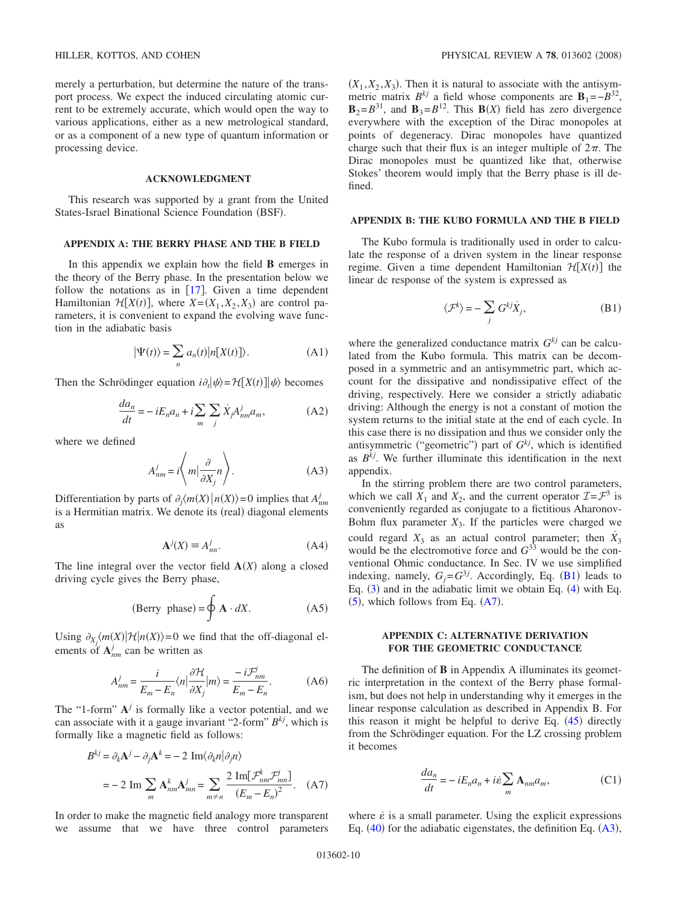merely a perturbation, but determine the nature of the transport process. We expect the induced circulating atomic current to be extremely accurate, which would open the way to various applications, either as a new metrological standard, or as a component of a new type of quantum information or processing device.

### **ACKNOWLEDGMENT**

This research was supported by a grant from the United States-Israel Binational Science Foundation (BSF).

# **APPENDIX A: THE BERRY PHASE AND THE B FIELD**

In this appendix we explain how the field **B** emerges in the theory of the Berry phase. In the presentation below we follow the notations as in  $[17]$  $[17]$  $[17]$ . Given a time dependent Hamiltonian  $\mathcal{H}[X(t)]$ , where  $X = (X_1, X_2, X_3)$  are control parameters, it is convenient to expand the evolving wave function in the adiabatic basis

$$
|\Psi(t)\rangle = \sum_{n} a_n(t) |n[X(t)]\rangle.
$$
 (A1)

<span id="page-9-2"></span>Then the Schrödinger equation  $i\partial_t |\psi\rangle = \mathcal{H}[X(t)]|\psi\rangle$  becomes

$$
\frac{da_n}{dt} = -iE_n a_n + i\sum_m \sum_j \dot{X}_j A^j_{nm} a_m, \tag{A2}
$$

where we defined

$$
A_{nm}^j = i \left\langle m \Big| \frac{\partial}{\partial X_j} n \right\rangle. \tag{A3}
$$

Differentiation by parts of  $\partial_j \langle m(X) | n(X) \rangle = 0$  implies that  $A_{nm}^j$ is a Hermitian matrix. We denote its (real) diagonal elements as

$$
\mathbf{A}^j(X) \equiv A^j_{nn}.\tag{A4}
$$

The line integral over the vector field  $A(X)$  along a closed driving cycle gives the Berry phase,

(Berry phase) = 
$$
\oint \mathbf{A} \cdot dX.
$$
 (A5)

Using  $\partial_{X_j} \langle m(X) | \mathcal{H} | n(X) \rangle = 0$  we find that the off-diagonal elements of  $A^{j}_{nm}$  can be written as

$$
A_{nm}^j = \frac{i}{E_m - E_n} \langle n | \frac{\partial \mathcal{H}}{\partial X_j} | m \rangle = \frac{-i \mathcal{F}_{nm}^j}{E_m - E_n}.
$$
 (A6)

The "1-form"  $A^j$  is formally like a vector potential, and we can associate with it a gauge invariant "2-form" *Bkj*, which is formally like a magnetic field as follows:

<span id="page-9-1"></span>
$$
B^{kj} = \partial_k \mathbf{A}^j - \partial_j \mathbf{A}^k = -2 \operatorname{Im} \langle \partial_k n | \partial_j n \rangle
$$
  
= -2 Im  $\sum_m \mathbf{A}^k_{nm} \mathbf{A}^j_{mn} = \sum_{m \neq n} \frac{2 \operatorname{Im} [\mathcal{F}^k_{nm} \mathcal{F}^j_{mn}]}{(E_m - E_n)^2}$ . (A7)

In order to make the magnetic field analogy more transparent we assume that we have three control parameters

 $(X_1, X_2, X_3)$ . Then it is natural to associate with the antisymmetric matrix  $B^{kj}$  a field whose components are  $\mathbf{B}_1 = -B^{32}$ ,  $\mathbf{B}_2 = B^{31}$ , and  $\mathbf{B}_3 = B^{12}$ . This  $\mathbf{B}(X)$  field has zero divergence everywhere with the exception of the Dirac monopoles at points of degeneracy. Dirac monopoles have quantized charge such that their flux is an integer multiple of  $2\pi$ . The Dirac monopoles must be quantized like that, otherwise Stokes' theorem would imply that the Berry phase is ill defined.

## **APPENDIX B: THE KUBO FORMULA AND THE B FIELD**

The Kubo formula is traditionally used in order to calculate the response of a driven system in the linear response regime. Given a time dependent Hamiltonian  $\mathcal{H}[X(t)]$  the linear dc response of the system is expressed as

$$
\langle \mathcal{F}^k \rangle = -\sum_j G^{kj} \dot{X}_j,\tag{B1}
$$

<span id="page-9-0"></span>where the generalized conductance matrix  $G^{kj}$  can be calculated from the Kubo formula. This matrix can be decomposed in a symmetric and an antisymmetric part, which account for the dissipative and nondissipative effect of the driving, respectively. Here we consider a strictly adiabatic driving: Although the energy is not a constant of motion the system returns to the initial state at the end of each cycle. In this case there is no dissipation and thus we consider only the antisymmetric ("geometric") part of  $G^{kj}$ , which is identified as *Bkj*. We further illuminate this identification in the next appendix.

In the stirring problem there are two control parameters, which we call  $X_1$  and  $X_2$ , and the current operator  $\mathcal{I} = \mathcal{F}^3$  is conveniently regarded as conjugate to a fictitious Aharonov-Bohm flux parameter  $X_3$ . If the particles were charged we could regard  $X_3$  as an actual control parameter; then  $\dot{X}_3$ would be the electromotive force and  $G^{33}$  would be the conventional Ohmic conductance. In Sec. IV we use simplified indexing, namely,  $G_j = G^{3j}$ . Accordingly, Eq. ([B1](#page-9-0)) leads to Eq.  $(3)$  $(3)$  $(3)$  and in the adiabatic limit we obtain Eq.  $(4)$  $(4)$  $(4)$  with Eq.  $(5)$  $(5)$  $(5)$ , which follows from Eq.  $(A7)$  $(A7)$  $(A7)$ .

# **APPENDIX C: ALTERNATIVE DERIVATION FOR THE GEOMETRIC CONDUCTANCE**

The definition of **B** in Appendix A illuminates its geometric interpretation in the context of the Berry phase formalism, but does not help in understanding why it emerges in the linear response calculation as described in Appendix B. For this reason it might be helpful to derive Eq.  $(45)$  $(45)$  $(45)$  directly from the Schrödinger equation. For the LZ crossing problem it becomes

$$
\frac{da_n}{dt} = -iE_n a_n + i\dot{\varepsilon} \sum_m \mathbf{A}_{nm} a_m, \tag{C1}
$$

where  $\dot{\varepsilon}$  is a small parameter. Using the explicit expressions Eq.  $(40)$  $(40)$  $(40)$  for the adiabatic eigenstates, the definition Eq.  $(A3)$  $(A3)$  $(A3)$ ,